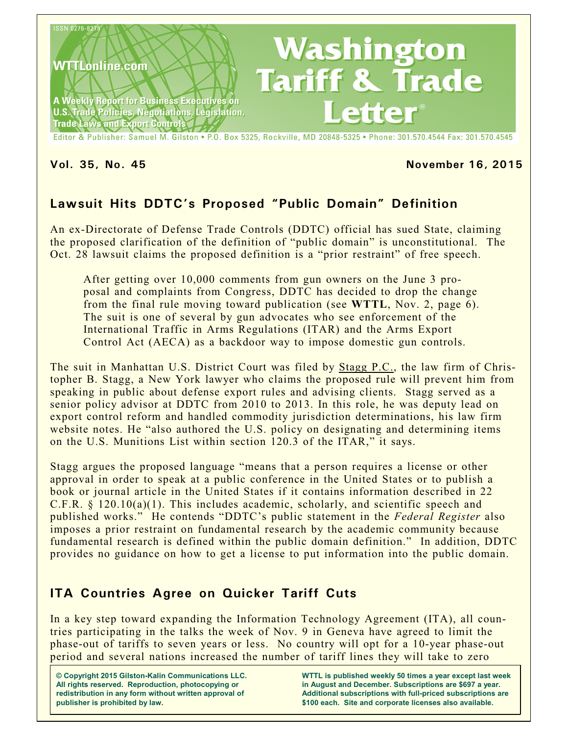

Editor & Publisher: Samuel M. Gilston . P.O. Box 5325, Rockville, MD 20848-5325 . Phone: 301.570.4544 Fax: 301.570.4545

#### **Vol. 35, No. 45 November 16, 2015**

# **Lawsuit Hits DDTC's Proposed "Public Domain" Definition**

An ex-Directorate of Defense Trade Controls (DDTC) official has sued State, claiming the proposed clarification of the definition of "public domain" is unconstitutional. The Oct. 28 lawsuit claims the proposed definition is a "prior restraint" of free speech.

After getting over 10,000 comments from gun owners on the June 3 proposal and complaints from Congress, DDTC has decided to drop the change from the final rule moving toward publication (see **WTTL**, Nov. 2, page 6). The suit is one of several by gun advocates who see enforcement of the International Traffic in Arms Regulations (ITAR) and the Arms Export Control Act (AECA) as a backdoor way to impose domestic gun controls.

The suit in Manhattan U.S. District Court was filed by Stagg P.C., the law firm of Christopher B. Stagg, a New York lawyer who claims the proposed rule will prevent him from speaking in public about defense export rules and advising clients. Stagg served as a senior policy advisor at DDTC from 2010 to 2013. In this role, he was deputy lead on export control reform and handled commodity jurisdiction determinations, his law firm website notes. He "also authored the U.S. policy on designating and determining items on the U.S. Munitions List within section 120.3 of the ITAR," it says.

Stagg argues the proposed language "means that a person requires a license or other approval in order to speak at a public conference in the United States or to publish a book or journal article in the United States if it contains information described in 22 C.F.R. § 120.10(a)(1). This includes academic, scholarly, and scientific speech and published works." He contends "DDTC's public statement in the *Federal Register* also imposes a prior restraint on fundamental research by the academic community because fundamental research is defined within the public domain definition." In addition, DDTC provides no guidance on how to get a license to put information into the public domain.

# **ITA Countries Agree on Quicker Tariff Cuts**

In a key step toward expanding the Information Technology Agreement (ITA), all countries participating in the talks the week of Nov. 9 in Geneva have agreed to limit the phase-out of tariffs to seven years or less. No country will opt for a 10-year phase-out period and several nations increased the number of tariff lines they will take to zero

**WTTL is published weekly 50 times a year except last week in August and December. Subscriptions are \$697 a year. Additional subscriptions with full-priced subscriptions are \$100 each. Site and corporate licenses also available.**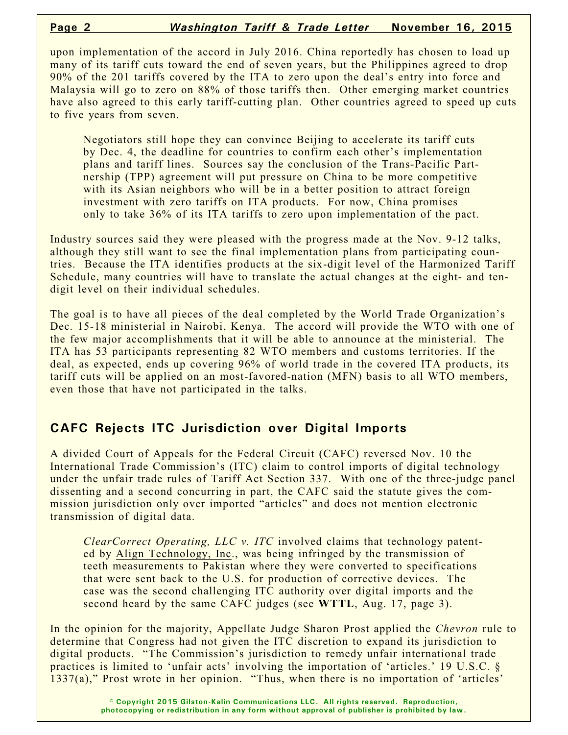upon implementation of the accord in July 2016. China reportedly has chosen to load up many of its tariff cuts toward the end of seven years, but the Philippines agreed to drop 90% of the 201 tariffs covered by the ITA to zero upon the deal's entry into force and Malaysia will go to zero on 88% of those tariffs then. Other emerging market countries have also agreed to this early tariff-cutting plan. Other countries agreed to speed up cuts to five years from seven.

Negotiators still hope they can convince Beijing to accelerate its tariff cuts by Dec. 4, the deadline for countries to confirm each other's implementation plans and tariff lines. Sources say the conclusion of the Trans-Pacific Partnership (TPP) agreement will put pressure on China to be more competitive with its Asian neighbors who will be in a better position to attract foreign investment with zero tariffs on ITA products. For now, China promises only to take 36% of its ITA tariffs to zero upon implementation of the pact.

Industry sources said they were pleased with the progress made at the Nov. 9-12 talks, although they still want to see the final implementation plans from participating countries. Because the ITA identifies products at the six-digit level of the Harmonized Tariff Schedule, many countries will have to translate the actual changes at the eight- and tendigit level on their individual schedules.

The goal is to have all pieces of the deal completed by the World Trade Organization's Dec. 15-18 ministerial in Nairobi, Kenya. The accord will provide the WTO with one of the few major accomplishments that it will be able to announce at the ministerial. The ITA has 53 participants representing 82 WTO members and customs territories. If the deal, as expected, ends up covering 96% of world trade in the covered ITA products, its tariff cuts will be applied on an most-favored-nation (MFN) basis to all WTO members, even those that have not participated in the talks.

# **CAFC Rejects ITC Jurisdiction over Digital Imports**

A divided Court of Appeals for the Federal Circuit (CAFC) reversed Nov. 10 the International Trade Commission's (ITC) claim to control imports of digital technology under the unfair trade rules of Tariff Act Section 337. With one of the three-judge panel dissenting and a second concurring in part, the CAFC said the statute gives the commission jurisdiction only over imported "articles" and does not mention electronic transmission of digital data.

*ClearCorrect Operating, LLC v. ITC* involved claims that technology patented by Align Technology, Inc., was being infringed by the transmission of teeth measurements to Pakistan where they were converted to specifications that were sent back to the U.S. for production of corrective devices. The case was the second challenging ITC authority over digital imports and the second heard by the same CAFC judges (see **WTTL**, Aug. 17, page 3).

In the opinion for the majority, Appellate Judge Sharon Prost applied the *Chevron* rule to determine that Congress had not given the ITC discretion to expand its jurisdiction to digital products. "The Commission's jurisdiction to remedy unfair international trade practices is limited to 'unfair acts' involving the importation of 'articles.' 19 U.S.C. § 1337(a)," Prost wrote in her opinion. "Thus, when there is no importation of 'articles'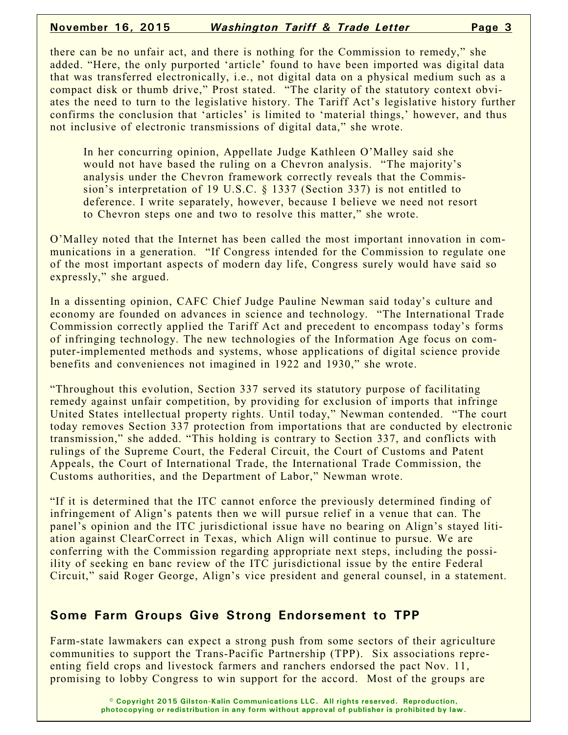#### **November 16, 2015** *Washington Tariff & Trade Letter* **Page 3**

there can be no unfair act, and there is nothing for the Commission to remedy," she added. "Here, the only purported 'article' found to have been imported was digital data that was transferred electronically, i.e., not digital data on a physical medium such as a compact disk or thumb drive," Prost stated. "The clarity of the statutory context obviates the need to turn to the legislative history. The Tariff Act's legislative history further confirms the conclusion that 'articles' is limited to 'material things,' however, and thus not inclusive of electronic transmissions of digital data," she wrote.

In her concurring opinion, Appellate Judge Kathleen O'Malley said she would not have based the ruling on a Chevron analysis. "The majority's analysis under the Chevron framework correctly reveals that the Commission's interpretation of 19 U.S.C. § 1337 (Section 337) is not entitled to deference. I write separately, however, because I believe we need not resort to Chevron steps one and two to resolve this matter," she wrote.

O'Malley noted that the Internet has been called the most important innovation in communications in a generation. "If Congress intended for the Commission to regulate one of the most important aspects of modern day life, Congress surely would have said so expressly," she argued.

In a dissenting opinion, CAFC Chief Judge Pauline Newman said today's culture and economy are founded on advances in science and technology. "The International Trade Commission correctly applied the Tariff Act and precedent to encompass today's forms of infringing technology. The new technologies of the Information Age focus on computer-implemented methods and systems, whose applications of digital science provide benefits and conveniences not imagined in 1922 and 1930," she wrote.

"Throughout this evolution, Section 337 served its statutory purpose of facilitating remedy against unfair competition, by providing for exclusion of imports that infringe United States intellectual property rights. Until today," Newman contended. "The court today removes Section 337 protection from importations that are conducted by electronic transmission," she added. "This holding is contrary to Section 337, and conflicts with rulings of the Supreme Court, the Federal Circuit, the Court of Customs and Patent Appeals, the Court of International Trade, the International Trade Commission, the Customs authorities, and the Department of Labor," Newman wrote.

"If it is determined that the ITC cannot enforce the previously determined finding of infringement of Align's patents then we will pursue relief in a venue that can. The panel's opinion and the ITC jurisdictional issue have no bearing on Align's stayed litiation against ClearCorrect in Texas, which Align will continue to pursue. We are conferring with the Commission regarding appropriate next steps, including the possiility of seeking en banc review of the ITC jurisdictional issue by the entire Federal Circuit," said Roger George, Align's vice president and general counsel, in a statement.

## **Some Farm Groups Give Strong Endorsement to TPP**

Farm-state lawmakers can expect a strong push from some sectors of their agriculture communities to support the Trans-Pacific Partnership (TPP). Six associations repreenting field crops and livestock farmers and ranchers endorsed the pact Nov. 11, promising to lobby Congress to win support for the accord. Most of the groups are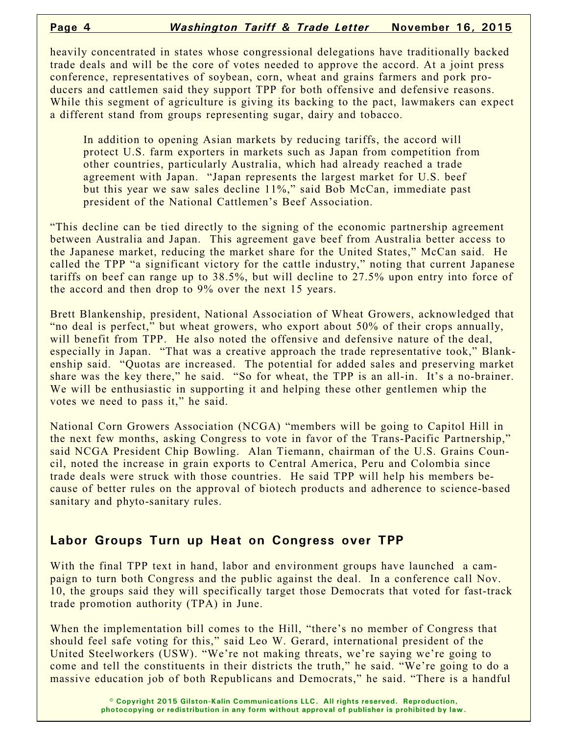heavily concentrated in states whose congressional delegations have traditionally backed trade deals and will be the core of votes needed to approve the accord. At a joint press conference, representatives of soybean, corn, wheat and grains farmers and pork producers and cattlemen said they support TPP for both offensive and defensive reasons. While this segment of agriculture is giving its backing to the pact, lawmakers can expect a different stand from groups representing sugar, dairy and tobacco.

In addition to opening Asian markets by reducing tariffs, the accord will protect U.S. farm exporters in markets such as Japan from competition from other countries, particularly Australia, which had already reached a trade agreement with Japan. "Japan represents the largest market for U.S. beef but this year we saw sales decline 11%," said Bob McCan, immediate past president of the National Cattlemen's Beef Association.

"This decline can be tied directly to the signing of the economic partnership agreement between Australia and Japan. This agreement gave beef from Australia better access to the Japanese market, reducing the market share for the United States," McCan said. He called the TPP "a significant victory for the cattle industry," noting that current Japanese tariffs on beef can range up to 38.5%, but will decline to 27.5% upon entry into force of the accord and then drop to 9% over the next 15 years.

Brett Blankenship, president, National Association of Wheat Growers, acknowledged that "no deal is perfect," but wheat growers, who export about 50% of their crops annually, will benefit from TPP. He also noted the offensive and defensive nature of the deal, especially in Japan. "That was a creative approach the trade representative took," Blankenship said. "Quotas are increased. The potential for added sales and preserving market share was the key there," he said. "So for wheat, the TPP is an all-in. It's a no-brainer. We will be enthusiastic in supporting it and helping these other gentlemen whip the votes we need to pass it," he said.

National Corn Growers Association (NCGA) "members will be going to Capitol Hill in the next few months, asking Congress to vote in favor of the Trans-Pacific Partnership," said NCGA President Chip Bowling. Alan Tiemann, chairman of the U.S. Grains Council, noted the increase in grain exports to Central America, Peru and Colombia since trade deals were struck with those countries. He said TPP will help his members because of better rules on the approval of biotech products and adherence to science-based sanitary and phyto-sanitary rules.

## **Labor Groups Turn up Heat on Congress over TPP**

With the final TPP text in hand, labor and environment groups have launched a campaign to turn both Congress and the public against the deal. In a conference call Nov. 10, the groups said they will specifically target those Democrats that voted for fast-track trade promotion authority (TPA) in June.

When the implementation bill comes to the Hill, "there's no member of Congress that should feel safe voting for this," said Leo W. Gerard, international president of the United Steelworkers (USW). "We're not making threats, we're saying we're going to come and tell the constituents in their districts the truth," he said. "We're going to do a massive education job of both Republicans and Democrats," he said. "There is a handful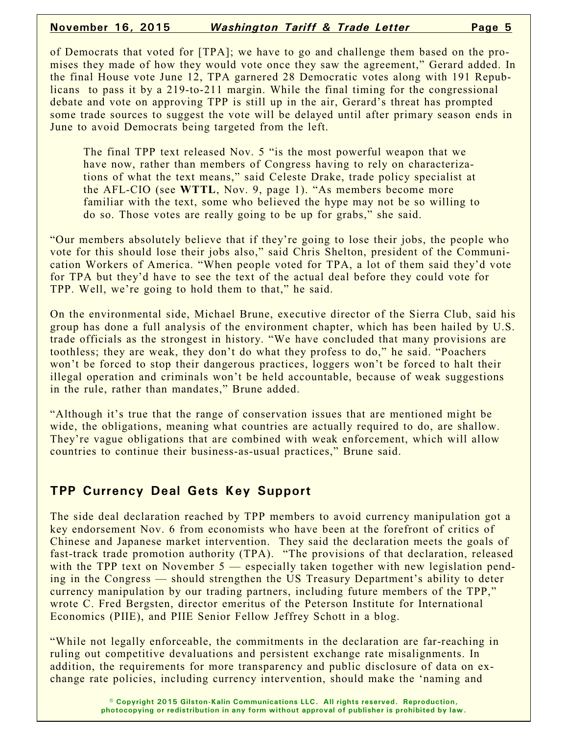#### **November 16, 2015** *Washington Tariff & Trade Letter* **Page 5**

of Democrats that voted for [TPA]; we have to go and challenge them based on the promises they made of how they would vote once they saw the agreement," Gerard added. In the final House vote June 12, TPA garnered 28 Democratic votes along with 191 Republicans to pass it by a 219-to-211 margin. While the final timing for the congressional debate and vote on approving TPP is still up in the air, Gerard's threat has prompted some trade sources to suggest the vote will be delayed until after primary season ends in June to avoid Democrats being targeted from the left.

The final TPP text released Nov. 5 "is the most powerful weapon that we have now, rather than members of Congress having to rely on characterizations of what the text means," said Celeste Drake, trade policy specialist at the AFL-CIO (see **WTTL**, Nov. 9, page 1). "As members become more familiar with the text, some who believed the hype may not be so willing to do so. Those votes are really going to be up for grabs," she said.

"Our members absolutely believe that if they're going to lose their jobs, the people who vote for this should lose their jobs also," said Chris Shelton, president of the Communication Workers of America. "When people voted for TPA, a lot of them said they'd vote for TPA but they'd have to see the text of the actual deal before they could vote for TPP. Well, we're going to hold them to that," he said.

On the environmental side, Michael Brune, executive director of the Sierra Club, said his group has done a full analysis of the environment chapter, which has been hailed by U.S. trade officials as the strongest in history. "We have concluded that many provisions are toothless; they are weak, they don't do what they profess to do," he said. "Poachers won't be forced to stop their dangerous practices, loggers won't be forced to halt their illegal operation and criminals won't be held accountable, because of weak suggestions in the rule, rather than mandates," Brune added.

"Although it's true that the range of conservation issues that are mentioned might be wide, the obligations, meaning what countries are actually required to do, are shallow. They're vague obligations that are combined with weak enforcement, which will allow countries to continue their business-as-usual practices," Brune said.

## **TPP Currency Deal Gets Key Support**

The side deal declaration reached by TPP members to avoid currency manipulation got a key endorsement Nov. 6 from economists who have been at the forefront of critics of Chinese and Japanese market intervention. They said the declaration meets the goals of fast-track trade promotion authority (TPA). "The provisions of that declaration, released with the TPP text on November 5 — especially taken together with new legislation pending in the Congress — should strengthen the US Treasury Department's ability to deter currency manipulation by our trading partners, including future members of the TPP," wrote C. Fred Bergsten, director emeritus of the Peterson Institute for International Economics (PIIE), and PIIE Senior Fellow Jeffrey Schott in a blog.

"While not legally enforceable, the commitments in the declaration are far-reaching in ruling out competitive devaluations and persistent exchange rate misalignments. In addition, the requirements for more transparency and public disclosure of data on exchange rate policies, including currency intervention, should make the 'naming and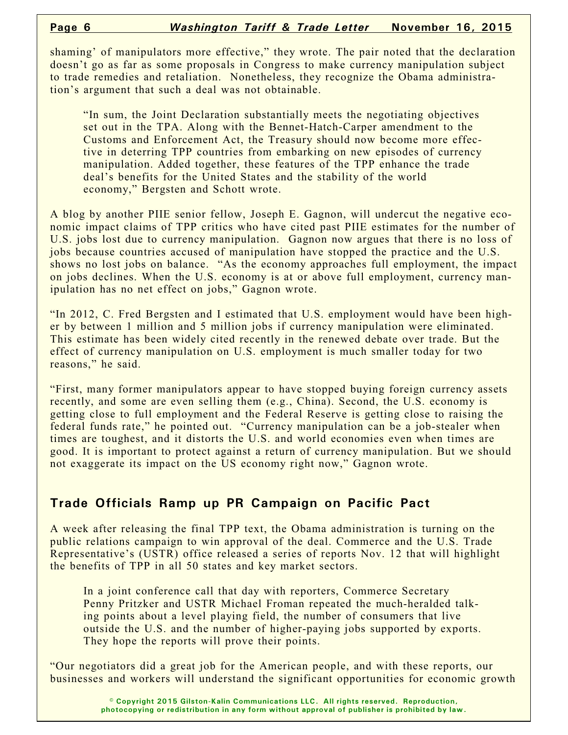shaming' of manipulators more effective," they wrote. The pair noted that the declaration doesn't go as far as some proposals in Congress to make currency manipulation subject to trade remedies and retaliation. Nonetheless, they recognize the Obama administration's argument that such a deal was not obtainable.

"In sum, the Joint Declaration substantially meets the negotiating objectives set out in the TPA. Along with the Bennet-Hatch-Carper amendment to the Customs and Enforcement Act, the Treasury should now become more effective in deterring TPP countries from embarking on new episodes of currency manipulation. Added together, these features of the TPP enhance the trade deal's benefits for the United States and the stability of the world economy," Bergsten and Schott wrote.

A blog by another PIIE senior fellow, Joseph E. Gagnon, will undercut the negative economic impact claims of TPP critics who have cited past PIIE estimates for the number of U.S. jobs lost due to currency manipulation. Gagnon now argues that there is no loss of jobs because countries accused of manipulation have stopped the practice and the U.S. shows no lost jobs on balance. "As the economy approaches full employment, the impact on jobs declines. When the U.S. economy is at or above full employment, currency manipulation has no net effect on jobs," Gagnon wrote.

"In 2012, C. Fred Bergsten and I estimated that U.S. employment would have been higher by between 1 million and 5 million jobs if currency manipulation were eliminated. This estimate has been widely cited recently in the renewed debate over trade. But the effect of currency manipulation on U.S. employment is much smaller today for two reasons," he said.

"First, many former manipulators appear to have stopped buying foreign currency assets recently, and some are even selling them (e.g., China). Second, the U.S. economy is getting close to full employment and the Federal Reserve is getting close to raising the federal funds rate," he pointed out. "Currency manipulation can be a job-stealer when times are toughest, and it distorts the U.S. and world economies even when times are good. It is important to protect against a return of currency manipulation. But we should not exaggerate its impact on the US economy right now," Gagnon wrote.

## **Trade Officials Ramp up PR Campaign on Pacific Pact**

A week after releasing the final TPP text, the Obama administration is turning on the public relations campaign to win approval of the deal. Commerce and the U.S. Trade Representative's (USTR) office released a series of reports Nov. 12 that will highlight the benefits of TPP in all 50 states and key market sectors.

In a joint conference call that day with reporters, Commerce Secretary Penny Pritzker and USTR Michael Froman repeated the much-heralded talking points about a level playing field, the number of consumers that live outside the U.S. and the number of higher-paying jobs supported by exports. They hope the reports will prove their points.

"Our negotiators did a great job for the American people, and with these reports, our businesses and workers will understand the significant opportunities for economic growth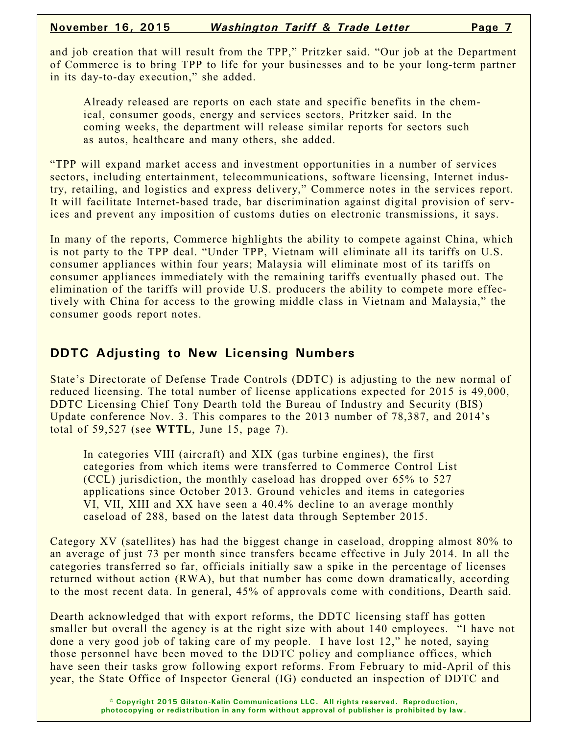and job creation that will result from the TPP," Pritzker said. "Our job at the Department of Commerce is to bring TPP to life for your businesses and to be your long-term partner in its day-to-day execution," she added.

Already released are reports on each state and specific benefits in the chemical, consumer goods, energy and services sectors, Pritzker said. In the coming weeks, the department will release similar reports for sectors such as autos, healthcare and many others, she added.

"TPP will expand market access and investment opportunities in a number of services sectors, including entertainment, telecommunications, software licensing, Internet industry, retailing, and logistics and express delivery," Commerce notes in the services report. It will facilitate Internet-based trade, bar discrimination against digital provision of services and prevent any imposition of customs duties on electronic transmissions, it says.

In many of the reports, Commerce highlights the ability to compete against China, which is not party to the TPP deal. "Under TPP, Vietnam will eliminate all its tariffs on U.S. consumer appliances within four years; Malaysia will eliminate most of its tariffs on consumer appliances immediately with the remaining tariffs eventually phased out. The elimination of the tariffs will provide U.S. producers the ability to compete more effectively with China for access to the growing middle class in Vietnam and Malaysia," the consumer goods report notes.

# **DDTC Adjusting to New Licensing Numbers**

State's Directorate of Defense Trade Controls (DDTC) is adjusting to the new normal of reduced licensing. The total number of license applications expected for 2015 is 49,000, DDTC Licensing Chief Tony Dearth told the Bureau of Industry and Security (BIS) Update conference Nov. 3. This compares to the 2013 number of 78,387, and 2014's total of 59,527 (see **WTTL**, June 15, page 7).

In categories VIII (aircraft) and XIX (gas turbine engines), the first categories from which items were transferred to Commerce Control List (CCL) jurisdiction, the monthly caseload has dropped over 65% to 527 applications since October 2013. Ground vehicles and items in categories VI, VII, XIII and XX have seen a 40.4% decline to an average monthly caseload of 288, based on the latest data through September 2015.

Category XV (satellites) has had the biggest change in caseload, dropping almost 80% to an average of just 73 per month since transfers became effective in July 2014. In all the categories transferred so far, officials initially saw a spike in the percentage of licenses returned without action (RWA), but that number has come down dramatically, according to the most recent data. In general, 45% of approvals come with conditions, Dearth said.

Dearth acknowledged that with export reforms, the DDTC licensing staff has gotten smaller but overall the agency is at the right size with about 140 employees. "I have not done a very good job of taking care of my people. I have lost 12," he noted, saying those personnel have been moved to the DDTC policy and compliance offices, which have seen their tasks grow following export reforms. From February to mid-April of this year, the State Office of Inspector General (IG) conducted an inspection of DDTC and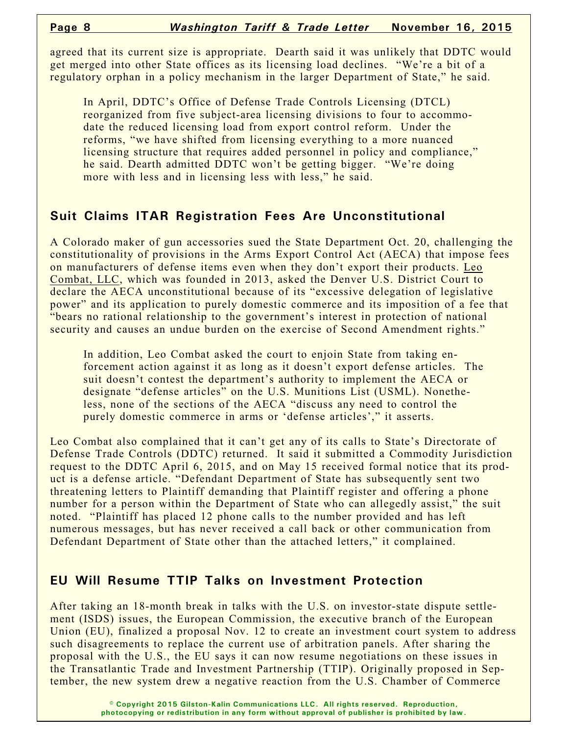agreed that its current size is appropriate. Dearth said it was unlikely that DDTC would get merged into other State offices as its licensing load declines. "We're a bit of a regulatory orphan in a policy mechanism in the larger Department of State," he said.

In April, DDTC's Office of Defense Trade Controls Licensing (DTCL) reorganized from five subject-area licensing divisions to four to accommodate the reduced licensing load from export control reform. Under the reforms, "we have shifted from licensing everything to a more nuanced licensing structure that requires added personnel in policy and compliance," he said. Dearth admitted DDTC won't be getting bigger. "We're doing more with less and in licensing less with less," he said.

# **Suit Claims ITAR Registration Fees Are Unconstitutional**

A Colorado maker of gun accessories sued the State Department Oct. 20, challenging the constitutionality of provisions in the Arms Export Control Act (AECA) that impose fees on manufacturers of defense items even when they don't export their products. Leo Combat, LLC, which was founded in 2013, asked the Denver U.S. District Court to declare the AECA unconstitutional because of its "excessive delegation of legislative power" and its application to purely domestic commerce and its imposition of a fee that "bears no rational relationship to the government's interest in protection of national security and causes an undue burden on the exercise of Second Amendment rights."

In addition, Leo Combat asked the court to enjoin State from taking enforcement action against it as long as it doesn't export defense articles. The suit doesn't contest the department's authority to implement the AECA or designate "defense articles" on the U.S. Munitions List (USML). Nonetheless, none of the sections of the AECA "discuss any need to control the purely domestic commerce in arms or 'defense articles'," it asserts.

Leo Combat also complained that it can't get any of its calls to State's Directorate of Defense Trade Controls (DDTC) returned. It said it submitted a Commodity Jurisdiction request to the DDTC April 6, 2015, and on May 15 received formal notice that its product is a defense article. "Defendant Department of State has subsequently sent two threatening letters to Plaintiff demanding that Plaintiff register and offering a phone number for a person within the Department of State who can allegedly assist," the suit noted. "Plaintiff has placed 12 phone calls to the number provided and has left numerous messages, but has never received a call back or other communication from Defendant Department of State other than the attached letters," it complained.

## **EU Will Resume TTIP Talks on Investment Protection**

After taking an 18-month break in talks with the U.S. on investor-state dispute settlement (ISDS) issues, the European Commission, the executive branch of the European Union (EU), finalized a proposal Nov. 12 to create an investment court system to address such disagreements to replace the current use of arbitration panels. After sharing the proposal with the U.S., the EU says it can now resume negotiations on these issues in the Transatlantic Trade and Investment Partnership (TTIP). Originally proposed in September, the new system drew a negative reaction from the U.S. Chamber of Commerce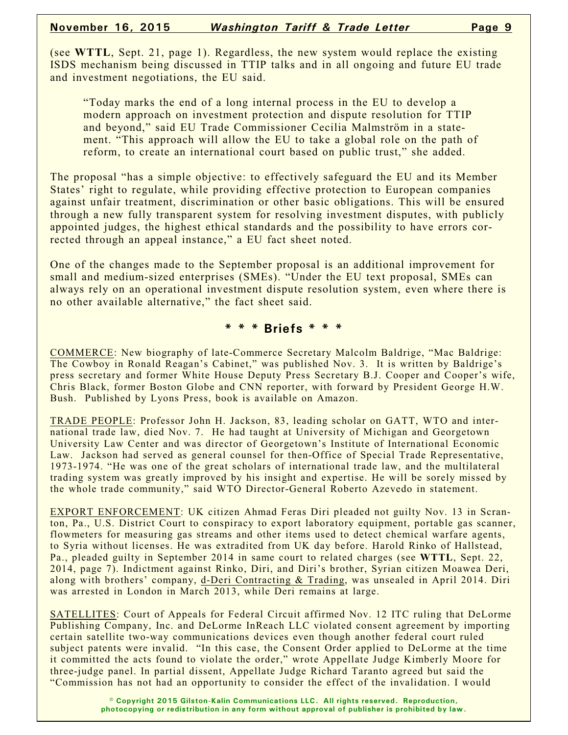(see **WTTL**, Sept. 21, page 1). Regardless, the new system would replace the existing ISDS mechanism being discussed in TTIP talks and in all ongoing and future EU trade and investment negotiations, the EU said.

"Today marks the end of a long internal process in the EU to develop a modern approach on investment protection and dispute resolution for TTIP and beyond," said EU Trade Commissioner Cecilia Malmström in a statement. "This approach will allow the EU to take a global role on the path of reform, to create an international court based on public trust," she added.

The proposal "has a simple objective: to effectively safeguard the EU and its Member States' right to regulate, while providing effective protection to European companies against unfair treatment, discrimination or other basic obligations. This will be ensured through a new fully transparent system for resolving investment disputes, with publicly appointed judges, the highest ethical standards and the possibility to have errors corrected through an appeal instance," a EU fact sheet noted.

One of the changes made to the September proposal is an additional improvement for small and medium-sized enterprises (SMEs). "Under the EU text proposal, SMEs can always rely on an operational investment dispute resolution system, even where there is no other available alternative," the fact sheet said.

### **\* \* \* Briefs \* \* \***

COMMERCE: New biography of late-Commerce Secretary Malcolm Baldrige, "Mac Baldrige: The Cowboy in Ronald Reagan's Cabinet," was published Nov. 3. It is written by Baldrige's press secretary and former White House Deputy Press Secretary B.J. Cooper and Cooper's wife, Chris Black, former Boston Globe and CNN reporter, with forward by President George H.W. Bush. Published by Lyons Press, book is available on Amazon.

TRADE PEOPLE: Professor John H. Jackson, 83, leading scholar on GATT, WTO and international trade law, died Nov. 7. He had taught at University of Michigan and Georgetown University Law Center and was director of Georgetown's Institute of International Economic Law. Jackson had served as general counsel for then-Office of Special Trade Representative, 1973-1974. "He was one of the great scholars of international trade law, and the multilateral trading system was greatly improved by his insight and expertise. He will be sorely missed by the whole trade community," said WTO Director-General Roberto Azevedo in statement.

EXPORT ENFORCEMENT: UK citizen Ahmad Feras Diri pleaded not guilty Nov. 13 in Scranton, Pa., U.S. District Court to conspiracy to export laboratory equipment, portable gas scanner, flowmeters for measuring gas streams and other items used to detect chemical warfare agents, to Syria without licenses. He was extradited from UK day before. Harold Rinko of Hallstead, Pa., pleaded guilty in September 2014 in same court to related charges (see **WTTL**, Sept. 22, 2014, page 7). Indictment against Rinko, Diri, and Diri's brother, Syrian citizen Moawea Deri, along with brothers' company, d-Deri Contracting & Trading, was unsealed in April 2014. Diri was arrested in London in March 2013, while Deri remains at large.

SATELLITES: Court of Appeals for Federal Circuit affirmed Nov. 12 ITC ruling that DeLorme Publishing Company, Inc. and DeLorme InReach LLC violated consent agreement by importing certain satellite two-way communications devices even though another federal court ruled subject patents were invalid. "In this case, the Consent Order applied to DeLorme at the time it committed the acts found to violate the order," wrote Appellate Judge Kimberly Moore for three-judge panel. In partial dissent, Appellate Judge Richard Taranto agreed but said the "Commission has not had an opportunity to consider the effect of the invalidation. I would